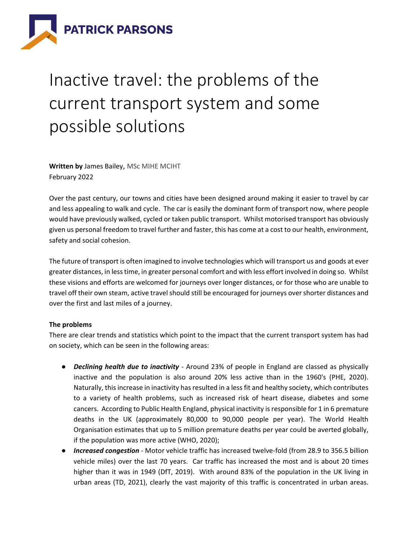

# Inactive travel: the problems of the current transport system and some possible solutions

**Written by** James Bailey, MSc MIHE MCIHT February 2022

Over the past century, our towns and cities have been designed around making it easier to travel by car and less appealing to walk and cycle. The car is easily the dominant form of transport now, where people would have previously walked, cycled or taken public transport. Whilst motorised transport has obviously given us personal freedom to travel further and faster, this has come at a cost to our health, environment, safety and social cohesion.

The future of transport is often imagined to involve technologies which will transport us and goods at ever greater distances, in less time, in greater personal comfort and with less effort involved in doing so. Whilst these visions and efforts are welcomed for journeys over longer distances, or for those who are unable to travel off their own steam, active travel should still be encouraged for journeys over shorter distances and over the first and last miles of a journey.

## **The problems**

There are clear trends and statistics which point to the impact that the current transport system has had on society, which can be seen in the following areas:

- *Declining health due to inactivity* Around 23% of people in England are classed as physically inactive and the population is also around 20% less active than in the 1960's (PHE, 2020). Naturally, this increase in inactivity has resulted in a less fit and healthy society, which contributes to a variety of health problems, such as increased risk of heart disease, diabetes and some cancers. According to Public Health England, physical inactivity is responsible for 1 in 6 premature deaths in the UK (approximately 80,000 to 90,000 people per year). The World Health Organisation estimates that up to 5 million premature deaths per year could be averted globally, if the population was more active (WHO, 2020);
- *Increased congestion* Motor vehicle traffic has increased twelve-fold (from 28.9 to 356.5 billion vehicle miles) over the last 70 years. Car traffic has increased the most and is about 20 times higher than it was in 1949 (DfT, 2019). With around 83% of the population in the UK living in urban areas (TD, 2021), clearly the vast majority of this traffic is concentrated in urban areas.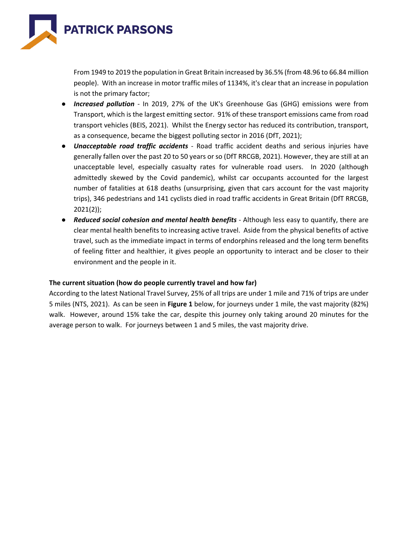

From 1949 to 2019 the population in Great Britain increased by 36.5% (from 48.96 to 66.84 million people). With an increase in motor traffic miles of 1134%, it's clear that an increase in population is not the primary factor;

- *Increased pollution* In 2019, 27% of the UK's Greenhouse Gas (GHG) emissions were from Transport, which is the largest emitting sector. 91% of these transport emissions came from road transport vehicles (BEIS, 2021). Whilst the Energy sector has reduced its contribution, transport, as a consequence, became the biggest polluting sector in 2016 (DfT, 2021);
- *Unacceptable road traffic accidents* Road traffic accident deaths and serious injuries have generally fallen over the past 20 to 50 years or so (DfT RRCGB, 2021). However, they are still at an unacceptable level, especially casualty rates for vulnerable road users. In 2020 (although admittedly skewed by the Covid pandemic), whilst car occupants accounted for the largest number of fatalities at 618 deaths (unsurprising, given that cars account for the vast majority trips), 346 pedestrians and 141 cyclists died in road traffic accidents in Great Britain (DfT RRCGB, 2021(2));
- *Reduced social cohesion and mental health benefits* Although less easy to quantify, there are clear mental health benefits to increasing active travel. Aside from the physical benefits of active travel, such as the immediate impact in terms of endorphins released and the long term benefits of feeling fitter and healthier, it gives people an opportunity to interact and be closer to their environment and the people in it.

## **The current situation (how do people currently travel and how far)**

According to the latest National Travel Survey, 25% of all trips are under 1 mile and 71% of trips are under 5 miles (NTS, 2021). As can be seen in **Figure 1** below, for journeys under 1 mile, the vast majority (82%) walk. However, around 15% take the car, despite this journey only taking around 20 minutes for the average person to walk. For journeys between 1 and 5 miles, the vast majority drive.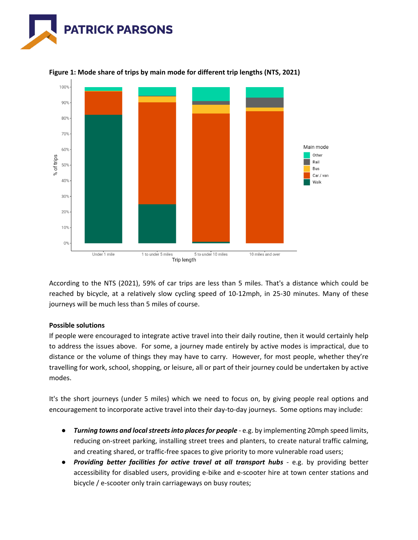





According to the NTS (2021), 59% of car trips are less than 5 miles. That's a distance which could be reached by bicycle, at a relatively slow cycling speed of 10-12mph, in 25-30 minutes. Many of these journeys will be much less than 5 miles of course.

## **Possible solutions**

If people were encouraged to integrate active travel into their daily routine, then it would certainly help to address the issues above. For some, a journey made entirely by active modes is impractical, due to distance or the volume of things they may have to carry. However, for most people, whether they're travelling for work, school, shopping, or leisure, all or part of their journey could be undertaken by active modes.

It's the short journeys (under 5 miles) which we need to focus on, by giving people real options and encouragement to incorporate active travel into their day-to-day journeys. Some options may include:

- *Turning towns and local streets into places for people -* e.g. by implementing 20mph speed limits, reducing on-street parking, installing street trees and planters, to create natural traffic calming, and creating shared, or traffic-free spaces to give priority to more vulnerable road users;
- *Providing better facilities for active travel at all transport hubs -* e.g. by providing better accessibility for disabled users, providing e-bike and e-scooter hire at town center stations and bicycle / e-scooter only train carriageways on busy routes;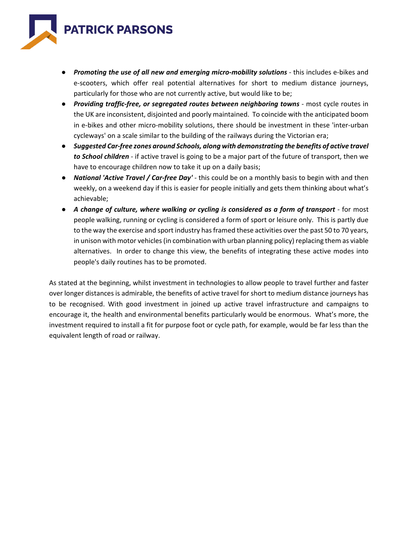

- *Promoting the use of all new and emerging micro-mobility solutions* this includes e-bikes and e-scooters, which offer real potential alternatives for short to medium distance journeys, particularly for those who are not currently active, but would like to be;
- *Providing traffic-free, or segregated routes between neighboring towns -* most cycle routes in the UK are inconsistent, disjointed and poorly maintained. To coincide with the anticipated boom in e-bikes and other micro-mobility solutions, there should be investment in these 'inter-urban cycleways' on a scale similar to the building of the railways during the Victorian era;
- *Suggested Car-free zones around Schools, along with demonstrating the benefits of active travel to School children -* if active travel is going to be a major part of the future of transport, then we have to encourage children now to take it up on a daily basis;
- *National 'Active Travel / Car-free Day'* this could be on a monthly basis to begin with and then weekly, on a weekend day if this is easier for people initially and gets them thinking about what's achievable;
- *A change of culture, where walking or cycling is considered as a form of transport -* for most people walking, running or cycling is considered a form of sport or leisure only. This is partly due to the way the exercise and sport industry has framed these activities over the past 50 to 70 years, in unison with motor vehicles (in combination with urban planning policy) replacing them as viable alternatives. In order to change this view, the benefits of integrating these active modes into people's daily routines has to be promoted.

As stated at the beginning, whilst investment in technologies to allow people to travel further and faster over longer distances is admirable, the benefits of active travel for short to medium distance journeys has to be recognised. With good investment in joined up active travel infrastructure and campaigns to encourage it, the health and environmental benefits particularly would be enormous. What's more, the investment required to install a fit for purpose foot or cycle path, for example, would be far less than the equivalent length of road or railway.